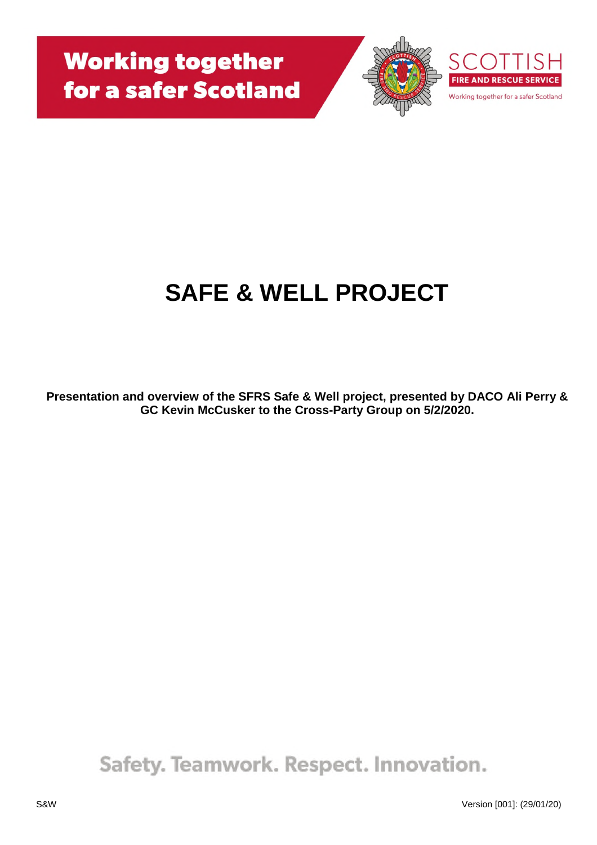



# **SAFE & WELL PROJECT**

**Presentation and overview of the SFRS Safe & Well project, presented by DACO Ali Perry & GC Kevin McCusker to the Cross-Party Group on 5/2/2020.**

Safety. Teamwork. Respect. Innovation.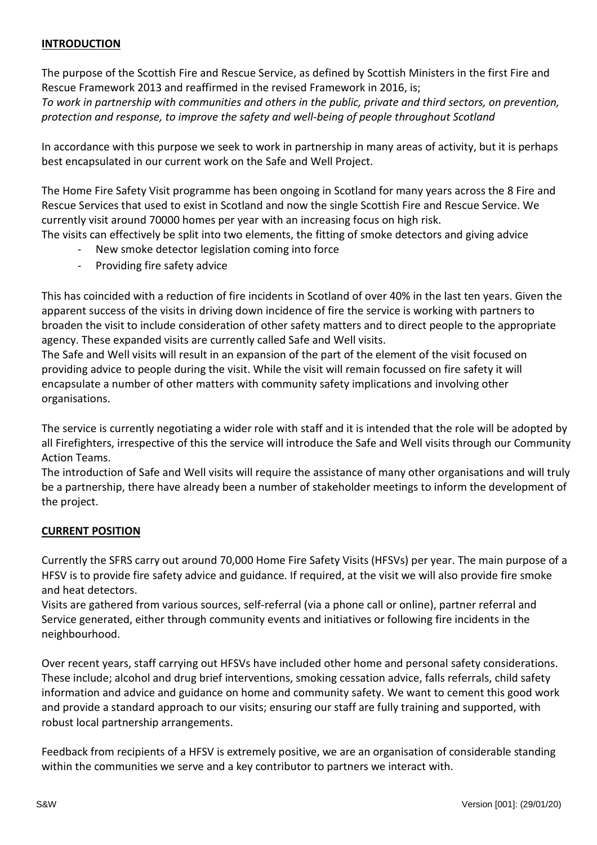# **INTRODUCTION**

The purpose of the Scottish Fire and Rescue Service, as defined by Scottish Ministers in the first Fire and Rescue Framework 2013 and reaffirmed in the revised Framework in 2016, is; *To work in partnership with communities and others in the public, private and third sectors, on prevention, protection and response, to improve the safety and well-being of people throughout Scotland*

In accordance with this purpose we seek to work in partnership in many areas of activity, but it is perhaps best encapsulated in our current work on the Safe and Well Project.

The Home Fire Safety Visit programme has been ongoing in Scotland for many years across the 8 Fire and Rescue Services that used to exist in Scotland and now the single Scottish Fire and Rescue Service. We currently visit around 70000 homes per year with an increasing focus on high risk. The visits can effectively be split into two elements, the fitting of smoke detectors and giving advice

- New smoke detector legislation coming into force
- Providing fire safety advice

This has coincided with a reduction of fire incidents in Scotland of over 40% in the last ten years. Given the apparent success of the visits in driving down incidence of fire the service is working with partners to broaden the visit to include consideration of other safety matters and to direct people to the appropriate agency. These expanded visits are currently called Safe and Well visits.

The Safe and Well visits will result in an expansion of the part of the element of the visit focused on providing advice to people during the visit. While the visit will remain focussed on fire safety it will encapsulate a number of other matters with community safety implications and involving other organisations.

The service is currently negotiating a wider role with staff and it is intended that the role will be adopted by all Firefighters, irrespective of this the service will introduce the Safe and Well visits through our Community Action Teams.

The introduction of Safe and Well visits will require the assistance of many other organisations and will truly be a partnership, there have already been a number of stakeholder meetings to inform the development of the project.

## **CURRENT POSITION**

Currently the SFRS carry out around 70,000 Home Fire Safety Visits (HFSVs) per year. The main purpose of a HFSV is to provide fire safety advice and guidance. If required, at the visit we will also provide fire smoke and heat detectors.

Visits are gathered from various sources, self-referral (via a phone call or online), partner referral and Service generated, either through community events and initiatives or following fire incidents in the neighbourhood.

Over recent years, staff carrying out HFSVs have included other home and personal safety considerations. These include; alcohol and drug brief interventions, smoking cessation advice, falls referrals, child safety information and advice and guidance on home and community safety. We want to cement this good work and provide a standard approach to our visits; ensuring our staff are fully training and supported, with robust local partnership arrangements.

Feedback from recipients of a HFSV is extremely positive, we are an organisation of considerable standing within the communities we serve and a key contributor to partners we interact with.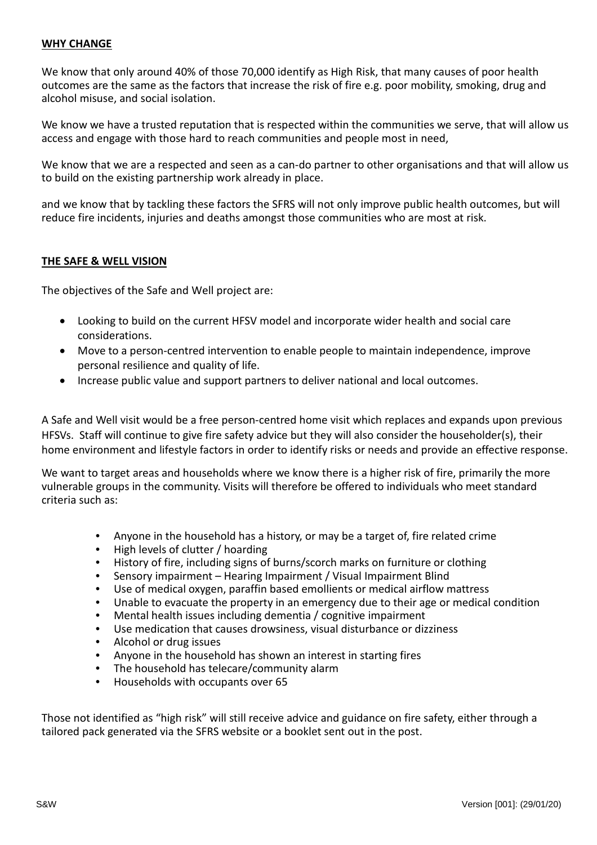## **WHY CHANGE**

We know that only around 40% of those 70,000 identify as High Risk, that many causes of poor health outcomes are the same as the factors that increase the risk of fire e.g. poor mobility, smoking, drug and alcohol misuse, and social isolation.

We know we have a trusted reputation that is respected within the communities we serve, that will allow us access and engage with those hard to reach communities and people most in need,

We know that we are a respected and seen as a can-do partner to other organisations and that will allow us to build on the existing partnership work already in place.

and we know that by tackling these factors the SFRS will not only improve public health outcomes, but will reduce fire incidents, injuries and deaths amongst those communities who are most at risk.

## **THE SAFE & WELL VISION**

The objectives of the Safe and Well project are:

- Looking to build on the current HFSV model and incorporate wider health and social care considerations.
- Move to a person-centred intervention to enable people to maintain independence, improve personal resilience and quality of life.
- Increase public value and support partners to deliver national and local outcomes.

A Safe and Well visit would be a free person-centred home visit which replaces and expands upon previous HFSVs. Staff will continue to give fire safety advice but they will also consider the householder(s), their home environment and lifestyle factors in order to identify risks or needs and provide an effective response.

We want to target areas and households where we know there is a higher risk of fire, primarily the more vulnerable groups in the community. Visits will therefore be offered to individuals who meet standard criteria such as:

- Anyone in the household has a history, or may be a target of, fire related crime
- High levels of clutter / hoarding
- History of fire, including signs of burns/scorch marks on furniture or clothing
- Sensory impairment Hearing Impairment / Visual Impairment Blind
- Use of medical oxygen, paraffin based emollients or medical airflow mattress
- Unable to evacuate the property in an emergency due to their age or medical condition
- Mental health issues including dementia / cognitive impairment
- Use medication that causes drowsiness, visual disturbance or dizziness
- Alcohol or drug issues
- Anyone in the household has shown an interest in starting fires
- The household has telecare/community alarm
- Households with occupants over 65

Those not identified as "high risk" will still receive advice and guidance on fire safety, either through a tailored pack generated via the SFRS website or a booklet sent out in the post.